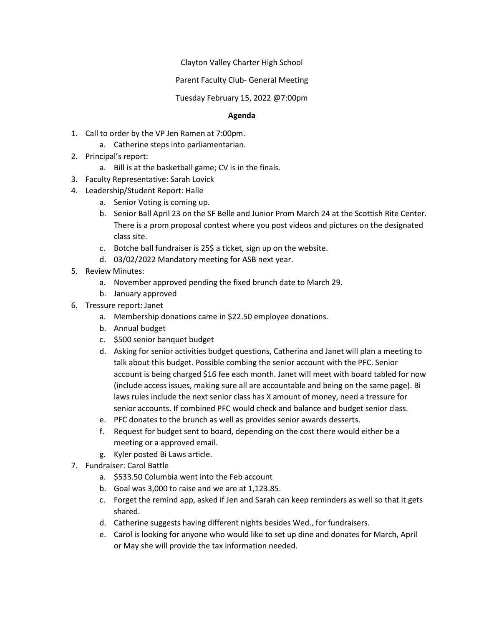Clayton Valley Charter High School

Parent Faculty Club- General Meeting

Tuesday February 15, 2022 @7:00pm

## **Agenda**

- 1. Call to order by the VP Jen Ramen at 7:00pm.
	- a. Catherine steps into parliamentarian.
- 2. Principal's report:
	- a. Bill is at the basketball game; CV is in the finals.
- 3. Faculty Representative: Sarah Lovick
- 4. Leadership/Student Report: Halle
	- a. Senior Voting is coming up.
	- b. Senior Ball April 23 on the SF Belle and Junior Prom March 24 at the Scottish Rite Center. There is a prom proposal contest where you post videos and pictures on the designated class site.
	- c. Botche ball fundraiser is 25\$ a ticket, sign up on the website.
	- d. 03/02/2022 Mandatory meeting for ASB next year.
- 5. Review Minutes:
	- a. November approved pending the fixed brunch date to March 29.
	- b. January approved
- 6. Tressure report: Janet
	- a. Membership donations came in \$22.50 employee donations.
	- b. Annual budget
	- c. \$500 senior banquet budget
	- d. Asking for senior activities budget questions, Catherina and Janet will plan a meeting to talk about this budget. Possible combing the senior account with the PFC. Senior account is being charged \$16 fee each month. Janet will meet with board tabled for now (include access issues, making sure all are accountable and being on the same page). Bi laws rules include the next senior class has X amount of money, need a tressure for senior accounts. If combined PFC would check and balance and budget senior class.
	- e. PFC donates to the brunch as well as provides senior awards desserts.
	- f. Request for budget sent to board, depending on the cost there would either be a meeting or a approved email.
	- g. Kyler posted Bi Laws article.
- 7. Fundraiser: Carol Battle
	- a. \$533.50 Columbia went into the Feb account
	- b. Goal was 3,000 to raise and we are at 1,123.85.
	- c. Forget the remind app, asked if Jen and Sarah can keep reminders as well so that it gets shared.
	- d. Catherine suggests having different nights besides Wed., for fundraisers.
	- e. Carol is looking for anyone who would like to set up dine and donates for March, April or May she will provide the tax information needed.